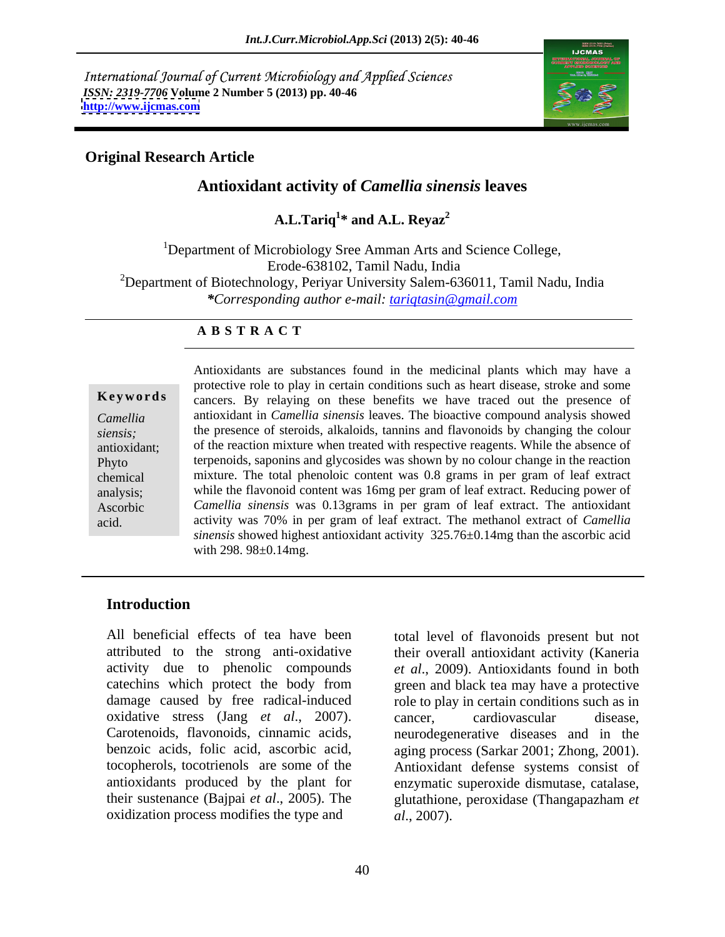International Journal of Current Microbiology and Applied Sciences *ISSN: 2319-7706* **Volume 2 Number 5 (2013) pp. 40-46 <http://www.ijcmas.com>**



### **Original Research Article**

### **Antioxidant activity of** *Camellia sinensis* **leaves**

A.L.Tariq<sup>1</sup>\* and A.L. Reyaz<sup>2</sup> **\* and A.L. Reyaz<sup>2</sup>**

<sup>1</sup>Department of Microbiology Sree Amman Arts and Science College, Erode-638102, Tamil Nadu, India <sup>2</sup>Department of Biotechnology, Periyar University Salem-636011, Tamil Nadu, India *\*Corresponding author e-mail: tariqtasin@gmail.com*

### **A B S T R A C T**

**Keywords** cancers. By relaying on these benefits we have traced out the presence of *Camellia* antioxidant in *Camellia sinensis* leaves. The bioactive compound analysis showed *siensis;* the presence of steroids, alkaloids, tannins and flavonoids by changing the colour antioxidant; of the reaction mixture when treated with respective reagents. While the absence of Phyto terpenoids, saponins and glycosides was shown by no colour change in the reaction chemical mixture. The total phenoloic content was 0.8 grams in per gram of leaf extract analysis; while the flavonoid content was 16mg per gram of leaf extract. Reducing power of Ascorbic *Camellia sinensis* was 0.13grams in per gram of leaf extract. The antioxidant acid. **activity was 70% in per gram of leaf extract.** The methanol extract of *Camellia* Antioxidants are substances found in the medicinal plants which may have a protective role to play in certain conditions such as heart disease, stroke and some *sinensis* showed highest antioxidant activity 325.76±0.14mg than the ascorbic acid with 298. 98±0.14mg.

### **Introduction**

All beneficial effects of tea have been total level of flavonoids present but not attributed to the strong anti-oxidative their overall antioxidant activity (Kaneria activity due to phenolic compounds *et al*., 2009). Antioxidants found in both catechins which protect the body from green and black tea may have a protective damage caused by free radical-induced role to play in certain conditions such as in oxidative stress (Jang *et al*., 2007). Carotenoids, flavonoids, cinnamic acids, neurodegenerative diseases and in the benzoic acids, folic acid, ascorbic acid, aging process (Sarkar 2001; Zhong, 2001). tocopherols, tocotrienols are some of the Antioxidant defense systems consist of antioxidants produced by the plant for enzymatic superoxide dismutase, catalase, their sustenance (Bajpai *et al*., 2005). The glutathione, peroxidase (Thangapazham *et*  oxidization process modifies the type and  $a\bar{l}$ , 2007).

cancer, cardiovascular disease, *al*., 2007).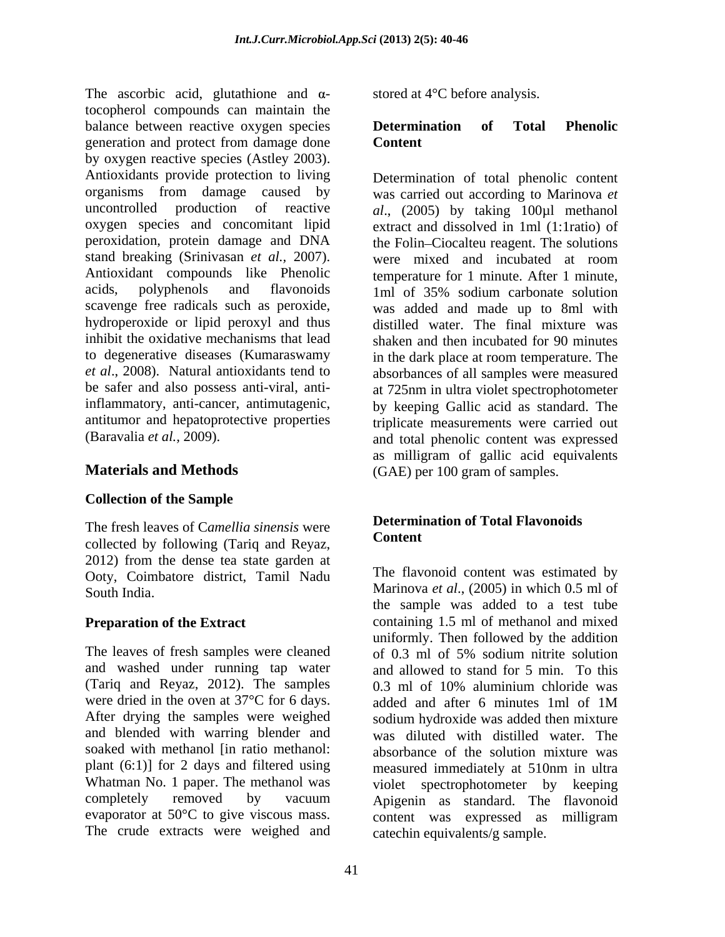The ascorbic acid, glutathione and  $\alpha$ tocopherol compounds can maintain the balance between reactive oxygen species **Determination of Total Phenolic** generation and protect from damage done by oxygen reactive species (Astley 2003). Antioxidants provide protection to living organisms from damage caused by was carried out according to Marinova *et*  uncontrolled production of reactive *al*., (2005) by taking 100µl methanol oxygen species and concomitant lipid extract and dissolved in 1ml (1:1ratio) of peroxidation, protein damage and DNA stand breaking (Srinivasan *et al.,* 2007). Antioxidant compounds like Phenolic temperature for 1 minute. After 1 minute, acids, polyphenols and flavonoids 1ml of 35% sodium carbonate solution scavenge free radicals such as peroxide, was added and made up to 8ml with hydroperoxide or lipid peroxyl and thus distilled water. The final mixture was inhibit the oxidative mechanisms that lead shaken and then incubated for 90 minutes to degenerative diseases (Kumaraswamy in the dark place at room temperature. The *et al*., 2008). Natural antioxidants tend to absorbances of all samples were measured be safer and also possess anti-viral, anti-at 725nm in ultra violet spectrophotometer inflammatory, anti-cancer, antimutagenic, by keeping Gallic acid as standard. The antitumor and hepatoprotective properties triplicate measurements were carried out

## **Collection of the Sample**

The fresh leaves of Camellia sinensis were<br>
Content collected by following (Tariq and Reyaz, 2012) from the dense tea state garden at Ooty, Coimbatore district, Tamil Nadu

The leaves of fresh samples were cleaned  $\sigma$  of 0.3 ml of 5% sodium nitrite solution (Tariq and Reyaz, 2012). The samples  $\frac{0.3 \text{ ml}}{4}$  of 10% aluminium chloride was were dried in the oven at 37°C for 6 days. evaporator at 50°C to give viscous mass. <br>content was expressed as milligram The crude extracts were weighed and

stored at 4°C before analysis.

### **Determination of Total Phenolic Content**

(Baravalia *et al.,* 2009). and total phenolic content was expressed **Materials and Methods** (GAE) per 100 gram of samples. Determination of total phenolic content the Folin-Ciocalteu reagent. The solutions were mixed and incubated at room as milligram of gallic acid equivalents

# **Determination of Total Flavonoids Content**

South India. Marinova *et al.*, (2005) in which 0.5 ml of **Preparation of the Extract** containing 1.5 ml of methanol and mixed and washed under running tap water and allowed to stand for 5 min. To this were dried in the oven at 37°C for 6 days.<br>After drying the samples were weighed sodium hydroxide was added then mixture and blended with warring blender and was diluted with distilled water. The soaked with methanol [in ratio methanol: absorbance of the solution mixture was plant (6:1)] for 2 days and filtered using measured immediately at 510nm in ultra Whatman No. 1 paper. The methanol was violet spectrophotometer by keeping completely removed by vacuum Apigenin as standard. The flavonoid The flavonoid content was estimated by the sample was added to a test tube uniformly. Then followed by the addition of 0.3 ml of 5% sodium nitrite solution 0.3 ml of 10% aluminium chloride was added and after 6 minutes 1ml of 1M sodium hydroxide was added then mixture content was expressed as milligram catechin equivalents/g sample.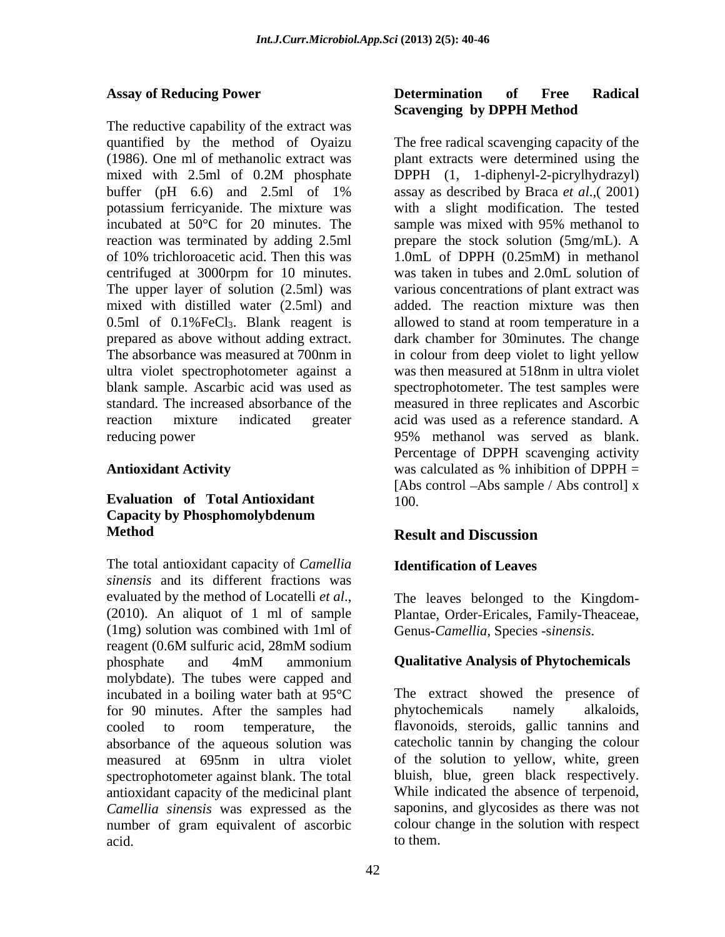The reductive capability of the extract was incubated at 50<sup>o</sup>C for 20 minutes. The sample was mixed with 95% methanol to centrifuged at 3000rpm for 10 minutes. The upper layer of solution (2.5ml) was mixed with distilled water (2.5ml) and ultra violet spectrophotometer against a

### **Evaluation of Total Antioxidant Capacity by Phosphomolybdenum Method**

The total antioxidant capacity of *Camellia sinensis* and its different fractions was evaluated by the method of Locatelli *et al*., The leaves belonged to the Kingdom- (2010). An aliquot of 1 ml of sample Plantae, Order-Ericales, Family-Theaceae, (1mg) solution was combined with 1ml of reagent (0.6M sulfuric acid, 28mM sodium phosphate and 4mM ammonium **Qualitative Analysis of Phytochemicals** molybdate). The tubes were capped and incubated in a boiling water bath at 95°C for 90 minutes. After the samples had phytochemicals namely alkaloids, measured at 695nm in ultra violet spectrophotometer against blank. The total antioxidant capacity of the medicinal plant *Camellia sinensis* was expressed as the number of gram equivalent of ascorbic acid. to them.

### Assay of Reducing Power **Determination** of Free Radical **Determination of Free Radical Scavenging by DPPH Method**

quantified by the method of Oyaizu The free radical scavenging capacity of the (1986). One ml of methanolic extract was plant extracts were determined using the mixed with 2.5ml of 0.2M phosphate DPPH (1, 1-diphenyl-2-picrylhydrazyl) buffer (pH  $6.6$ ) and  $2.5$ ml of  $1\%$  assay as described by Braca *et al.*, (2001) potassium ferricyanide. The mixture was with a slight modification. The tested reaction was terminated by adding 2.5ml prepare the stock solution (5mg/mL). A of 10% trichloroacetic acid. Then this was  $1.0$ mL of DPPH (0.25mM) in methanol 0.5ml of 0.1%FeCl<sub>3</sub>. Blank reagent is allowed to stand at room temperature in a prepared as above without adding extract. dark chamber for 30minutes. The change The absorbance was measured at 700nm in in colour from deep violet to light yellow blank sample. Ascarbic acid was used as spectrophotometer. The test samples were standard. The increased absorbance of the measured in three replicates and Ascorbic reaction mixture indicated greater acid was used as a reference standard. A reducing power 95% methanol was served as blank. Antioxidant Activity was calculated as % inhibition of DPPH = DPPH (1, 1-diphenyl-2-picrylhydrazyl) assay as described by Braca *et al*.,( 2001) sample was mixed with 95% methanol to 1.0mL of DPPH (0.25mM) in methanol was taken in tubes and 2.0mL solution of various concentrations of plant extract was added. The reaction mixture was then was then measured at 518nm in ultra violet Percentage of DPPH scavenging activity was calculated as % inhibition of DPPH = [Abs control – Abs sample / Abs control] x 100.

# **Result and Discussion**

# **Identification of Leaves**

Genus-*Camellia*, Species -s*inensis*.

# **Qualitative Analysis of Phytochemicals**

cooled to room temperature, the flavonoids, steroids, gallic tannins and absorbance of the aqueous solution was catecholic tannin by changing the colour The extract showed the presence of phytochemicals namely alkaloids, flavonoids, steroids, gallic tannins and of the solution to yellow, white, green bluish, blue, green black respectively. While indicated the absence of terpenoid, saponins, and glycosides as there was not colour change in the solution with respect to them.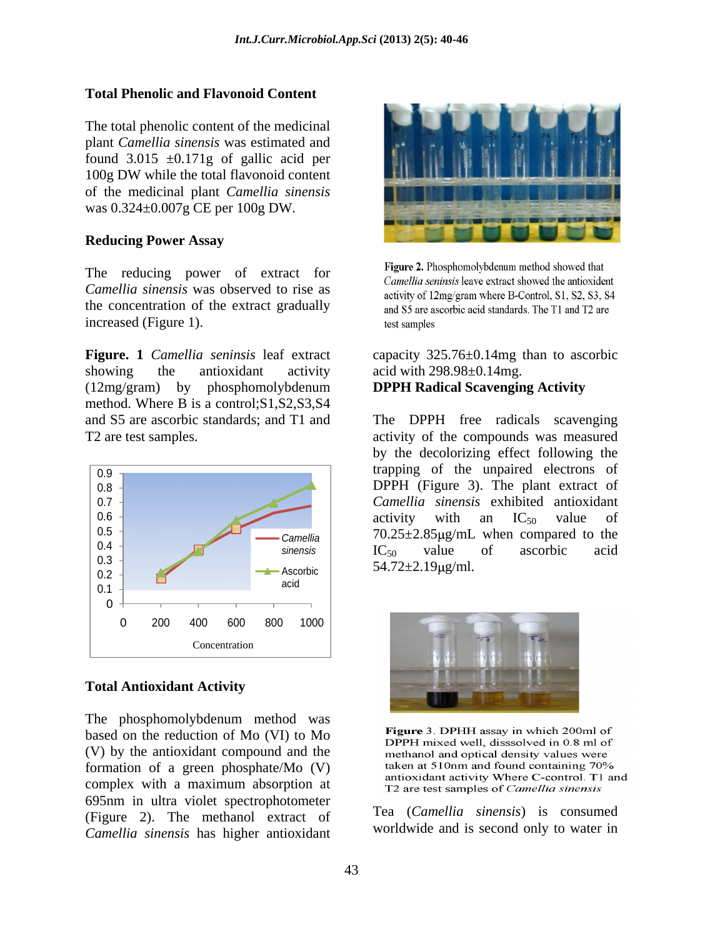## **Total Phenolic and Flavonoid Content**

The total phenolic content of the medicinal plant *Camellia sinensis* was estimated and found  $3.015 \pm 0.171$ g of gallic acid per 100g DW while the total flavonoid content of the medicinal plant *Camellia sinensis* was 0.324±0.007g CE per 100g DW.

*Camellia sinensis* was observed to rise as<br>activity of 12mg/gram where B-Control, S1, S2, S3, S4 the concentration of the extract gradually and S5 are ascorbic acid standards. The T1 and T2 are increased (Figure 1). test samples

**Figure. 1** *Camellia seninsis* leaf extract capacity 325.76±0.14mg than to ascorbic showing the antioxidant activity acid with 298.98±0.14mg. (12mg/gram) by phosphomolybdenum **DPPH Radical Scavenging Activity** method. Where B is a control;S1,S2,S3,S4



The phosphomolybdenum method was<br>heard on the reduction of  $M_2$  ( $M_1$ ) to  $M_2$ <br>Figure 3. DPHH assay in which 200ml of based on the reduction of Mo (VI) to Mo<br>DPPH mixed well, dissolved in 0.8 ml of (V) by the antioxidant compound and the methanol and optical density values were complex with a maximum absorption at T2 are test samples of *Camellia sinensis* 695nm in ultra violet spectrophotometer (Figure 2). The methanol extract of *Camellia sinensis* has higher antioxidant



The reducing power of extract for Figure 2. Phosphomolybdenum method showed that<br>
Camellia seninsis leave extract showed the antioxident

acid with 298.98±0.14mg.

# **DPPH Radical Scavenging Activity**

and S5 are ascorbic standards; and T1 and The DPPH free radicals scavenging T2 are test samples. activity of the compounds was measured  $6.3 + 54.72 + 2.10 + cm$  $0.4 +$   $\blacksquare$  $\frac{0.5}{24}$   $\frac{1}{24}$   $\frac{1}{24}$   $\frac{1}{24}$   $\frac{1}{24}$   $\frac{1}{24}$   $\frac{1}{24}$   $\frac{1}{24}$   $\frac{1}{24}$   $\frac{1}{24}$   $\frac{1}{24}$   $\frac{1}{24}$   $\frac{1}{24}$   $\frac{1}{24}$   $\frac{1}{24}$   $\frac{1}{24}$   $\frac{1}{24}$   $\frac{1}{24}$   $\frac{1}{24}$   $\frac{1}{24}$  $0.6 \pm 0.6$  activity with an IC<sub>50</sub> value of 0.7 *Camellia sinensis* exhibited antioxidant  $0.8 \frac{1}{2}$  DPPH (Figure 3). The plant extract of 0.9 trapping of the unpaired electrons of sinensis  $IC_{50}$  value of ascorbic acid Ascorbic  $J4.72 \pm 2.19 \mu$ g/1111. by the decolorizing effect following the activity with an  $IC_{50}$  value of  $IC_{50}$  value of ascorbic acid  $54.72 \pm 2.19 \mu g/ml.$ 





Tea (*Camellia sinensis*) is consumed worldwide and is second only to water in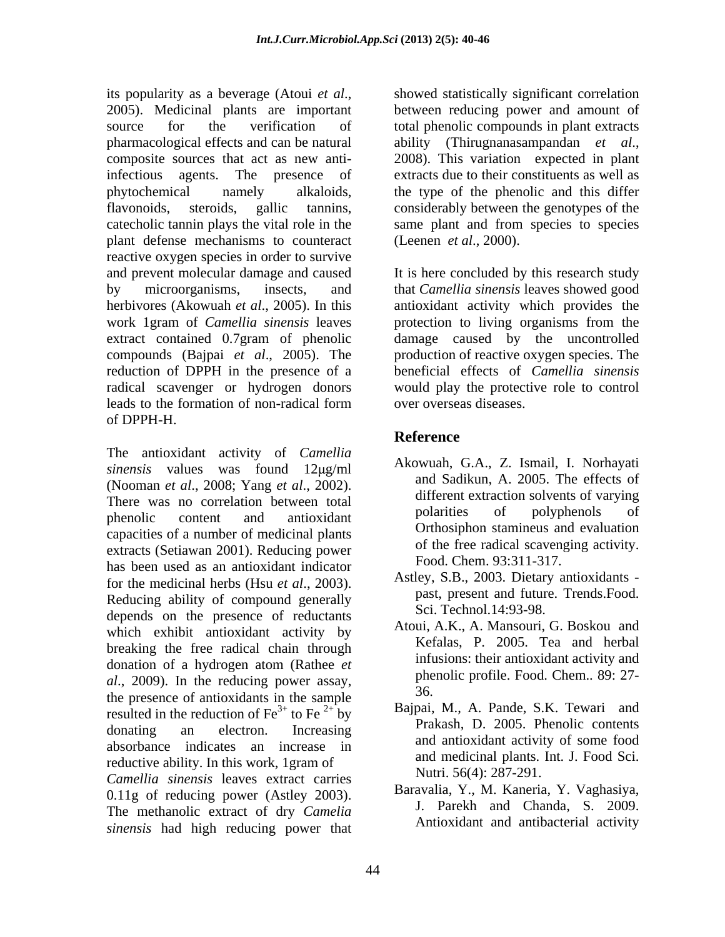its popularity as <sup>a</sup> beverage (Atoui *et al*., 2005). Medicinal plants are important source for the verification of total phenolic compounds in plant extracts pharmacological effects and can be natural ability (Thirugnanasampandan et al., composite sources that act as new anti-<br>2008). This variation expected in plant infectious agents. The presence of extracts due to their constituents aswell as phytochemical namely alkaloids, the type of the phenolic and this differ flavonoids, steroids, gallic tannins, considerably between the genotypes of the catecholic tannin plays the vital role in the same plant and from species to species plant defense mechanisms to counteract reactive oxygen species in order to survive and prevent molecular damage and caused It is here concluded by this research study by microorganisms, insects, and that *Camellia sinensis* leaves showed good herbivores (Akowuah *et al*., 2005). In this antioxidant activity which provides the work 1gram of *Camellia sinensis* leaves extract contained 0.7gram of phenolic damage caused by the uncontrolled compounds (Bajpai *et al*., 2005). The production of reactive oxygen species. The reduction of DPPH in the presence of a radical scavenger or hydrogen donors would play the protective role to control leads to the formation of non-radical form of DPPH-H.

The antioxidant activity of *Camellia sinensis* values was found 12µg/ml (Nooman *et al.*, 2008; Yang *et al.*, 2002). There was no correlation between total different extraction solvents of varying phenolic content and antioxidant polarities of polyphenology of capacities of a number of medicinal plants extracts (Setiawan 2001). Reducing power has been used as an antioxidant indicator for the medicinal herbs (Hsu *et al*., 2003). Reducing ability of compound generally depends on the presence of reductants which exhibit antioxidant activity by breaking the free radical chain through donation of a hydrogen atom (Rathee *et al*., 2009). In the reducing power assay, the phe the presence of antioxidants in the sample resulted in the reduction of  $\text{Fe}^{3+}$  to  $\text{Fe}^{2+}$  by donating an electron. Increasing Frakash, D. 2005. Filehold contents absorbance indicates an increase in reductive ability. In this work, 1gram of *Camellia sinensis* leaves extract carries 0.11g of reducing power (Astley 2003). The methanolic extract of dry *Camelia sinensis* had high reducing power that

showed statistically significant correlation between reducing power and amount of ability (Thirugnanasampandan *et al*., 2008). This variation expected in plant (Leenen *et al*., 2000).

protection to living organisms from the beneficial effects of *Camellia sinensis* over overseas diseases.

# **Reference**

- Akowuah, G.A., Z. Ismail, I. Norhayati and Sadikun, A. 2005. The effects of different extraction solvents of varying polarities of polyphenols of Orthosiphon stamineus and evaluation of the free radical scavenging activity. Food. Chem. 93:311-317.
- Astley, S.B., 2003. Dietary antioxidants past, present and future. Trends.Food. Sci. Technol.14:93-98.
- Atoui, A.K., A. Mansouri, G. Boskou and Kefalas, P. 2005. Tea and herbal infusions: their antioxidant activity and phenolic profile. Food. Chem.. 89: 27- 36.
- Bajpai, M., A. Pande, S.K. Tewari and Prakash, D. 2005. Phenolic contents and antioxidant activity of some food and medicinal plants. Int. J. Food Sci. Nutri. 56(4): 287-291.
- Baravalia, Y., M. Kaneria, Y. Vaghasiya, J. Parekh and Chanda, S. 2009. Antioxidant and antibacterial activity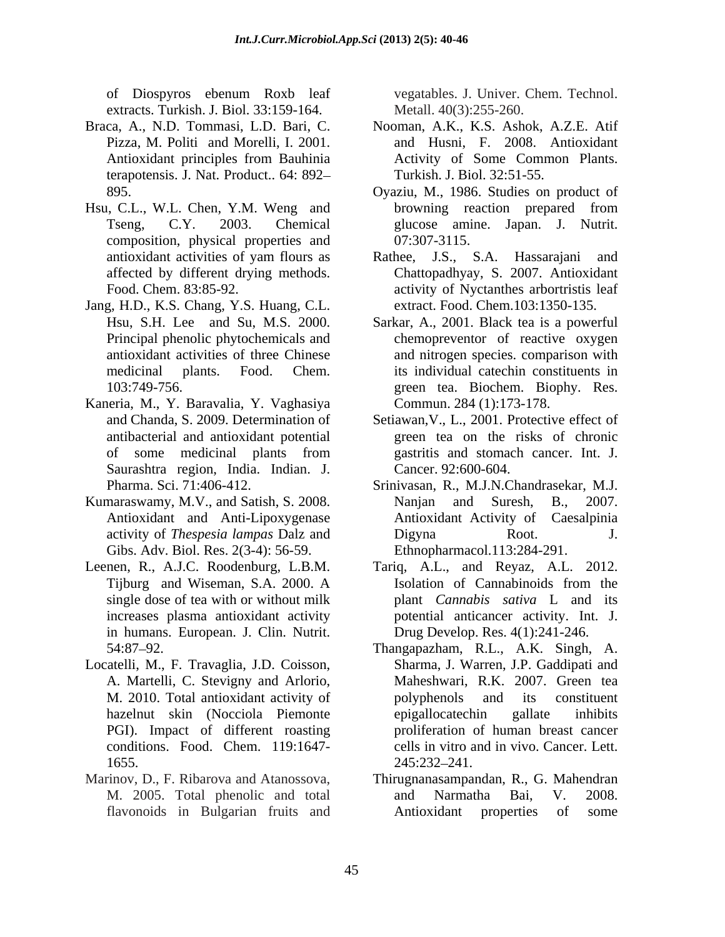extracts. Turkish. J. Biol. 33:159-164.

- terapotensis. J. Nat. Product.. 64: 892
- Hsu, C.L., W.L. Chen, Y.M. Weng and composition, physical properties and
- Jang, H.D., K.S. Chang, Y.S. Huang, C.L.
- Kaneria, M., Y. Baravalia, Y. Vaghasiya Saurashtra region, India. Indian. J.
- Kumaraswamy, M.V., and Satish, S. 2008. Nanjan and Suresh, B., 2007. Antioxidant and Anti-Lipoxygenase Gibs. Adv. Biol. Res. 2(3-4): 56-59.
- Leenen, R., A.J.C. Roodenburg, L.B.M. Tariq, A.L., and Reyaz, A.L. 2012. in humans. European. J. Clin. Nutrit.
- Locatelli, M., F. Travaglia, J.D. Coisson, A. Martelli, C. Stevigny and Arlorio, PGI). Impact of different roasting 1655. 245:232-241.
- 

of Diospyros ebenum Roxb leaf vegatables. J. Univer. Chem. Technol. Metall. 40(3):255-260.

- Braca, A., N.D. Tommasi, L.D. Bari, C. Nooman, A.K., K.S. Ashok, A.Z.E. Atif Pizza, M. Politi and Morelli, I. 2001. <br>and Husni, F. 2008. Antioxidant Antioxidant principles from Bauhinia Activity of Some Common Plants. Turkish. J. Biol. 32:51-55.
	- 895. Oyaziu, M., 1986. Studies on product of Tseng, C.Y. 2003. Chemical glucose amine. Japan. J. Nutrit. browning reaction prepared from 07:307-3115.
	- antioxidant activities of yam flours as Tathee, J.S., S.A. Hassarajani and affected by different drying methods. Chattopadhyay, S. 2007. Antioxidant Food. Chem. 83:85-92. activity of Nyctanthes arbortristis leaf Rathee, J.S., S.A. Hassarajani and extract. Food. Chem.103:1350-135.
	- Hsu, S.H. Lee and Su, M.S. 2000. Sarkar, A., 2001. Black tea is a powerful Principal phenolic phytochemicals and chemopreventor of reactive oxygen antioxidant activities of three Chinese and nitrogen species. comparison with medicinal plants. Food. Chem. its individual catechin constituents in 103:749-756. green tea. Biochem. Biophy. Res. Commun. 284 (1):173-178.
	- and Chanda, S. 2009. Determination of Setiawan,V., L., 2001. Protective effect of antibacterial and antioxidant potential green tea on the risks of chronic of some medicinal plants from gastritis and stomach cancer. Int. J. gastritis and stomach cancer. Int. J. Cancer. 92:600-604.
	- Pharma. Sci. 71:406-412. Srinivasan, R., M.J.N.Chandrasekar, M.J. activity of *Thespesia lampas* Dalz and Nanjan and Suresh, B., 2007. Antioxidant Activity of Caesalpinia Digyna Root. J. Ethnopharmacol.113:284-291.
	- Tijburg and Wiseman, S.A. 2000. A single dose of tea with or without milk plant *Cannabis sativa* L and its increases plasma antioxidant activity potential anticancer activity. Int. J. Isolation of Cannabinoids from the Drug Develop. Res. 4(1):241-246.
	- 54:87 92. Thangapazham, R.L., A.K. Singh, A. M. 2010. Total antioxidant activity of hazelnut skin (Nocciola Piemonte epigallocatechin gallate inhibits conditions. Food. Chem. 119:1647- cells in vitro and in vivo. Cancer. Lett. Sharma, J. Warren, J.P. Gaddipati and Maheshwari, R.K. 2007. Green tea polyphenols and its constituent epigallocatechin gallate inhibits proliferation of human breast cancer 245:232 241.
- Marinov, D., F. Ribarova and Atanossova, Thirugnanasampandan, R., G. Mahendran M. 2005. Total phenolic and total flavonoids in Bulgarian fruits and **Antioxidant** properties of some and Narmatha Bai, V. 2008. Antioxidant properties of some